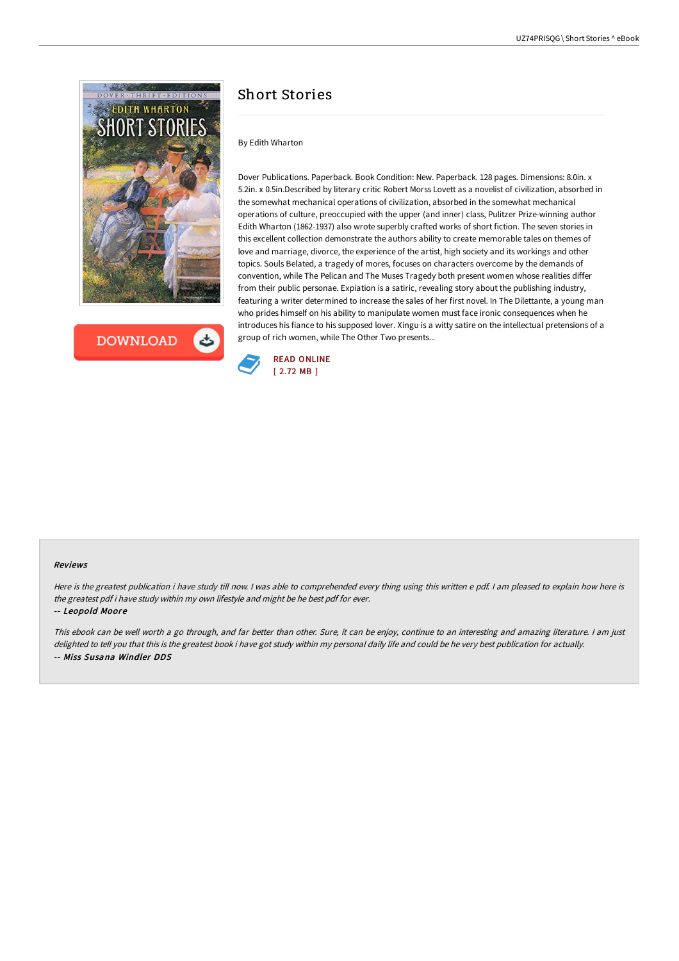

**DOWNLOAD** 

# Short Stories

### By Edith Wharton

Dover Publications. Paperback. Book Condition: New. Paperback. 128 pages. Dimensions: 8.0in. x 5.2in. x 0.5in.Described by literary critic Robert Morss Lovett as a novelist of civilization, absorbed in the somewhat mechanical operations of civilization, absorbed in the somewhat mechanical operations of culture, preoccupied with the upper (and inner) class, Pulitzer Prize-winning author Edith Wharton (1862-1937) also wrote superbly crafted works of short fiction. The seven stories in this excellent collection demonstrate the authors ability to create memorable tales on themes of love and marriage, divorce, the experience of the artist, high society and its workings and other topics. Souls Belated, a tragedy of mores, focuses on characters overcome by the demands of convention, while The Pelican and The Muses Tragedy both present women whose realities differ from their public personae. Expiation is a satiric, revealing story about the publishing industry, featuring a writer determined to increase the sales of her first novel. In The Dilettante, a young man who prides himself on his ability to manipulate women must face ironic consequences when he introduces his fiance to his supposed lover. Xingu is a witty satire on the intellectual pretensions of a group of rich women, while The Other Two presents...



### Reviews

Here is the greatest publication i have study till now. <sup>I</sup> was able to comprehended every thing using this written <sup>e</sup> pdf. <sup>I</sup> am pleased to explain how here is the greatest pdf i have study within my own lifestyle and might be he best pdf for ever.

#### -- Leopold Moore

This ebook can be well worth <sup>a</sup> go through, and far better than other. Sure, it can be enjoy, continue to an interesting and amazing literature. <sup>I</sup> am just delighted to tell you that this is the greatest book i have got study within my personal daily life and could be he very best publication for actually. -- Miss Susana Windler DDS